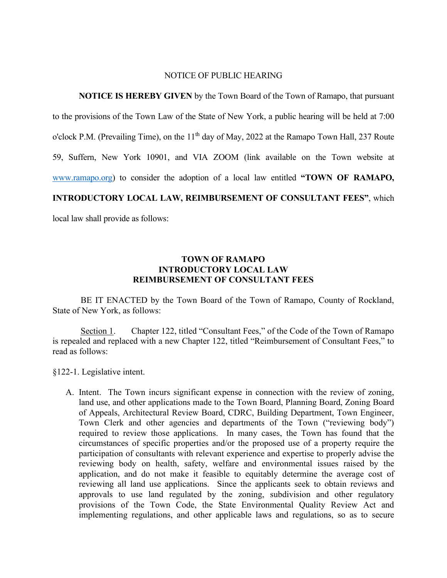## NOTICE OF PUBLIC HEARING

**NOTICE IS HEREBY GIVEN** by the Town Board of the Town of Ramapo, that pursuant to the provisions of the Town Law of the State of New York, a public hearing will be held at 7:00 o'clock P.M. (Prevailing Time), on the  $11<sup>th</sup>$  day of May, 2022 at the Ramapo Town Hall, 237 Route 59, Suffern, New York 10901, and VIA ZOOM (link available on the Town website at [www.ramapo.org\)](http://www.ramapo.org/) to consider the adoption of a local law entitled **"TOWN OF RAMAPO, INTRODUCTORY LOCAL LAW, REIMBURSEMENT OF CONSULTANT FEES"**, which local law shall provide as follows:

## **TOWN OF RAMAPO INTRODUCTORY LOCAL LAW REIMBURSEMENT OF CONSULTANT FEES**

BE IT ENACTED by the Town Board of the Town of Ramapo, County of Rockland, State of New York, as follows:

Section 1. Chapter 122, titled "Consultant Fees," of the Code of the Town of Ramapo is repealed and replaced with a new Chapter 122, titled "Reimbursement of Consultant Fees," to read as follows:

§122-1. Legislative intent.

A. Intent. The Town incurs significant expense in connection with the review of zoning, land use, and other applications made to the Town Board, Planning Board, Zoning Board of Appeals, Architectural Review Board, CDRC, Building Department, Town Engineer, Town Clerk and other agencies and departments of the Town ("reviewing body") required to review those applications. In many cases, the Town has found that the circumstances of specific properties and/or the proposed use of a property require the participation of consultants with relevant experience and expertise to properly advise the reviewing body on health, safety, welfare and environmental issues raised by the application, and do not make it feasible to equitably determine the average cost of reviewing all land use applications. Since the applicants seek to obtain reviews and approvals to use land regulated by the zoning, subdivision and other regulatory provisions of the Town Code, the State Environmental Quality Review Act and implementing regulations, and other applicable laws and regulations, so as to secure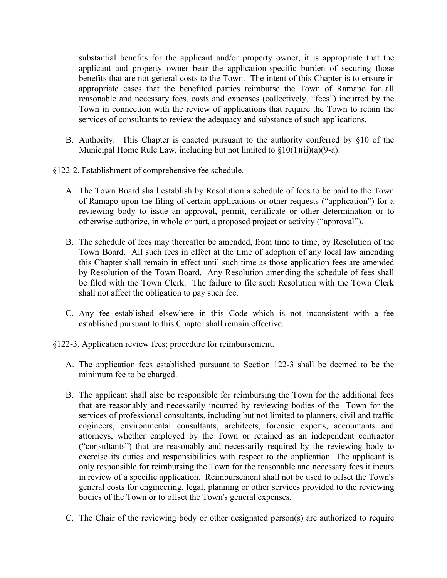substantial benefits for the applicant and/or property owner, it is appropriate that the applicant and property owner bear the application-specific burden of securing those benefits that are not general costs to the Town. The intent of this Chapter is to ensure in appropriate cases that the benefited parties reimburse the Town of Ramapo for all reasonable and necessary fees, costs and expenses (collectively, "fees") incurred by the Town in connection with the review of applications that require the Town to retain the services of consultants to review the adequacy and substance of such applications.

- B. Authority. This Chapter is enacted pursuant to the authority conferred by §10 of the Municipal Home Rule Law, including but not limited to  $\S10(1)(ii)(a)(9-a)$ .
- §122-2. Establishment of comprehensive fee schedule.
	- A. The Town Board shall establish by Resolution a schedule of fees to be paid to the Town of Ramapo upon the filing of certain applications or other requests ("application") for a reviewing body to issue an approval, permit, certificate or other determination or to otherwise authorize, in whole or part, a proposed project or activity ("approval").
	- B. The schedule of fees may thereafter be amended, from time to time, by Resolution of the Town Board. All such fees in effect at the time of adoption of any local law amending this Chapter shall remain in effect until such time as those application fees are amended by Resolution of the Town Board. Any Resolution amending the schedule of fees shall be filed with the Town Clerk. The failure to file such Resolution with the Town Clerk shall not affect the obligation to pay such fee.
	- C. Any fee established elsewhere in this Code which is not inconsistent with a fee established pursuant to this Chapter shall remain effective.
- §122-3. Application review fees; procedure for reimbursement.
	- A. The application fees established pursuant to Section 122-3 shall be deemed to be the minimum fee to be charged.
	- B. The applicant shall also be responsible for reimbursing the Town for the additional fees that are reasonably and necessarily incurred by reviewing bodies of the Town for the services of professional consultants, including but not limited to planners, civil and traffic engineers, environmental consultants, architects, forensic experts, accountants and attorneys, whether employed by the Town or retained as an independent contractor ("consultants") that are reasonably and necessarily required by the reviewing body to exercise its duties and responsibilities with respect to the application. The applicant is only responsible for reimbursing the Town for the reasonable and necessary fees it incurs in review of a specific application. Reimbursement shall not be used to offset the Town's general costs for engineering, legal, planning or other services provided to the reviewing bodies of the Town or to offset the Town's general expenses.
	- C. The Chair of the reviewing body or other designated person(s) are authorized to require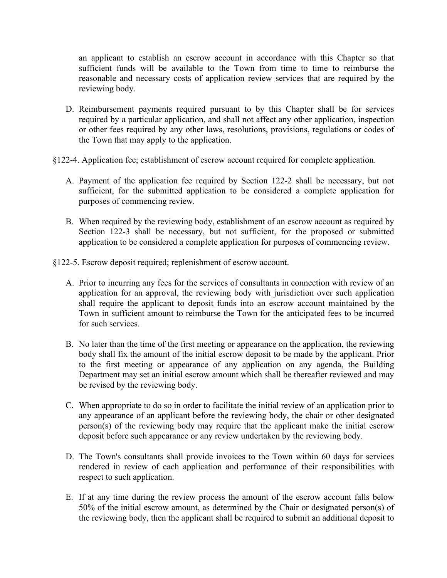an applicant to establish an escrow account in accordance with this Chapter so that sufficient funds will be available to the Town from time to time to reimburse the reasonable and necessary costs of application review services that are required by the reviewing body.

- D. Reimbursement payments required pursuant to by this Chapter shall be for services required by a particular application, and shall not affect any other application, inspection or other fees required by any other laws, resolutions, provisions, regulations or codes of the Town that may apply to the application.
- §122-4. Application fee; establishment of escrow account required for complete application.
	- A. Payment of the application fee required by Section 122-2 shall be necessary, but not sufficient, for the submitted application to be considered a complete application for purposes of commencing review.
	- B. When required by the reviewing body, establishment of an escrow account as required by Section 122-3 shall be necessary, but not sufficient, for the proposed or submitted application to be considered a complete application for purposes of commencing review.
- §122-5. Escrow deposit required; replenishment of escrow account.
	- A. Prior to incurring any fees for the services of consultants in connection with review of an application for an approval, the reviewing body with jurisdiction over such application shall require the applicant to deposit funds into an escrow account maintained by the Town in sufficient amount to reimburse the Town for the anticipated fees to be incurred for such services.
	- B. No later than the time of the first meeting or appearance on the application, the reviewing body shall fix the amount of the initial escrow deposit to be made by the applicant. Prior to the first meeting or appearance of any application on any agenda, the Building Department may set an initial escrow amount which shall be thereafter reviewed and may be revised by the reviewing body.
	- C. When appropriate to do so in order to facilitate the initial review of an application prior to any appearance of an applicant before the reviewing body, the chair or other designated person(s) of the reviewing body may require that the applicant make the initial escrow deposit before such appearance or any review undertaken by the reviewing body.
	- D. The Town's consultants shall provide invoices to the Town within 60 days for services rendered in review of each application and performance of their responsibilities with respect to such application.
	- E. If at any time during the review process the amount of the escrow account falls below 50% of the initial escrow amount, as determined by the Chair or designated person(s) of the reviewing body, then the applicant shall be required to submit an additional deposit to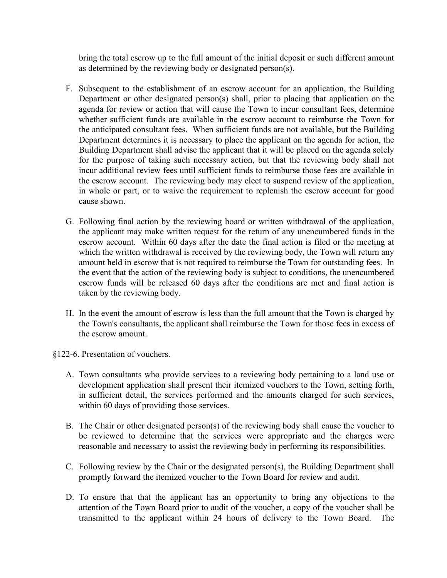bring the total escrow up to the full amount of the initial deposit or such different amount as determined by the reviewing body or designated person(s).

- F. Subsequent to the establishment of an escrow account for an application, the Building Department or other designated person(s) shall, prior to placing that application on the agenda for review or action that will cause the Town to incur consultant fees, determine whether sufficient funds are available in the escrow account to reimburse the Town for the anticipated consultant fees. When sufficient funds are not available, but the Building Department determines it is necessary to place the applicant on the agenda for action, the Building Department shall advise the applicant that it will be placed on the agenda solely for the purpose of taking such necessary action, but that the reviewing body shall not incur additional review fees until sufficient funds to reimburse those fees are available in the escrow account. The reviewing body may elect to suspend review of the application, in whole or part, or to waive the requirement to replenish the escrow account for good cause shown.
- G. Following final action by the reviewing board or written withdrawal of the application, the applicant may make written request for the return of any unencumbered funds in the escrow account. Within 60 days after the date the final action is filed or the meeting at which the written withdrawal is received by the reviewing body, the Town will return any amount held in escrow that is not required to reimburse the Town for outstanding fees. In the event that the action of the reviewing body is subject to conditions, the unencumbered escrow funds will be released 60 days after the conditions are met and final action is taken by the reviewing body.
- H. In the event the amount of escrow is less than the full amount that the Town is charged by the Town's consultants, the applicant shall reimburse the Town for those fees in excess of the escrow amount.
- §122-6. Presentation of vouchers.
	- A. Town consultants who provide services to a reviewing body pertaining to a land use or development application shall present their itemized vouchers to the Town, setting forth, in sufficient detail, the services performed and the amounts charged for such services, within 60 days of providing those services.
	- B. The Chair or other designated person(s) of the reviewing body shall cause the voucher to be reviewed to determine that the services were appropriate and the charges were reasonable and necessary to assist the reviewing body in performing its responsibilities.
	- C. Following review by the Chair or the designated person(s), the Building Department shall promptly forward the itemized voucher to the Town Board for review and audit.
	- D. To ensure that that the applicant has an opportunity to bring any objections to the attention of the Town Board prior to audit of the voucher, a copy of the voucher shall be transmitted to the applicant within 24 hours of delivery to the Town Board. The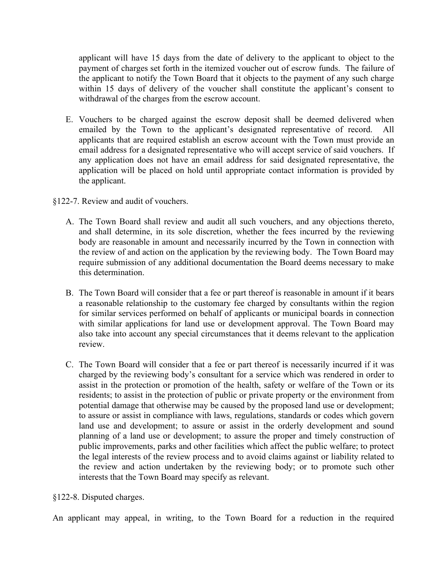applicant will have 15 days from the date of delivery to the applicant to object to the payment of charges set forth in the itemized voucher out of escrow funds. The failure of the applicant to notify the Town Board that it objects to the payment of any such charge within 15 days of delivery of the voucher shall constitute the applicant's consent to withdrawal of the charges from the escrow account.

- E. Vouchers to be charged against the escrow deposit shall be deemed delivered when emailed by the Town to the applicant's designated representative of record. All applicants that are required establish an escrow account with the Town must provide an email address for a designated representative who will accept service of said vouchers. If any application does not have an email address for said designated representative, the application will be placed on hold until appropriate contact information is provided by the applicant.
- §122-7. Review and audit of vouchers.
	- A. The Town Board shall review and audit all such vouchers, and any objections thereto, and shall determine, in its sole discretion, whether the fees incurred by the reviewing body are reasonable in amount and necessarily incurred by the Town in connection with the review of and action on the application by the reviewing body. The Town Board may require submission of any additional documentation the Board deems necessary to make this determination.
	- B. The Town Board will consider that a fee or part thereof is reasonable in amount if it bears a reasonable relationship to the customary fee charged by consultants within the region for similar services performed on behalf of applicants or municipal boards in connection with similar applications for land use or development approval. The Town Board may also take into account any special circumstances that it deems relevant to the application review.
	- C. The Town Board will consider that a fee or part thereof is necessarily incurred if it was charged by the reviewing body's consultant for a service which was rendered in order to assist in the protection or promotion of the health, safety or welfare of the Town or its residents; to assist in the protection of public or private property or the environment from potential damage that otherwise may be caused by the proposed land use or development; to assure or assist in compliance with laws, regulations, standards or codes which govern land use and development; to assure or assist in the orderly development and sound planning of a land use or development; to assure the proper and timely construction of public improvements, parks and other facilities which affect the public welfare; to protect the legal interests of the review process and to avoid claims against or liability related to the review and action undertaken by the reviewing body; or to promote such other interests that the Town Board may specify as relevant.

§122-8. Disputed charges.

An applicant may appeal, in writing, to the Town Board for a reduction in the required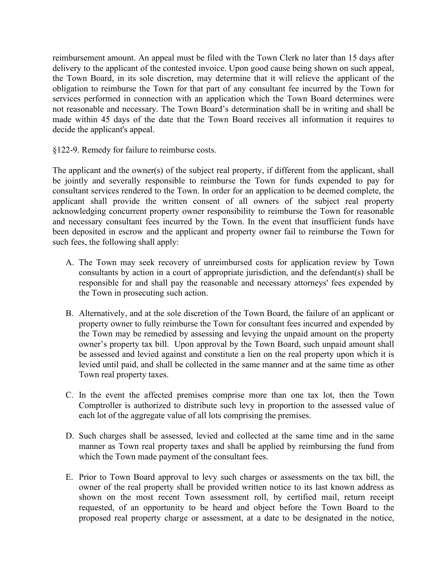reimbursement amount. An appeal must be filed with the Town Clerk no later than 15 days after delivery to the applicant of the contested invoice. Upon good cause being shown on such appeal, the Town Board, in its sole discretion, may determine that it will relieve the applicant of the obligation to reimburse the Town for that part of any consultant fee incurred by the Town for services performed in connection with an application which the Town Board determines were not reasonable and necessary. The Town Board's determination shall be in writing and shall be made within 45 days of the date that the Town Board receives all information it requires to decide the applicant's appeal.

§122-9. Remedy for failure to reimburse costs.

The applicant and the owner(s) of the subject real property, if different from the applicant, shall be jointly and severally responsible to reimburse the Town for funds expended to pay for consultant services rendered to the Town. In order for an application to be deemed complete, the applicant shall provide the written consent of all owners of the subject real property acknowledging concurrent property owner responsibility to reimburse the Town for reasonable and necessary consultant fees incurred by the Town. In the event that insufficient funds have been deposited in escrow and the applicant and property owner fail to reimburse the Town for such fees, the following shall apply:

- A. The Town may seek recovery of unreimbursed costs for application review by Town consultants by action in a court of appropriate jurisdiction, and the defendant(s) shall be responsible for and shall pay the reasonable and necessary attorneys' fees expended by the Town in prosecuting such action.
- B. Alternatively, and at the sole discretion of the Town Board, the failure of an applicant or property owner to fully reimburse the Town for consultant fees incurred and expended by the Town may be remedied by assessing and levying the unpaid amount on the property owner's property tax bill. Upon approval by the Town Board, such unpaid amount shall be assessed and levied against and constitute a lien on the real property upon which it is levied until paid, and shall be collected in the same manner and at the same time as other Town real property taxes.
- C. In the event the affected premises comprise more than one tax lot, then the Town Comptroller is authorized to distribute such levy in proportion to the assessed value of each lot of the aggregate value of all lots comprising the premises.
- D. Such charges shall be assessed, levied and collected at the same time and in the same manner as Town real property taxes and shall be applied by reimbursing the fund from which the Town made payment of the consultant fees.
- E. Prior to Town Board approval to levy such charges or assessments on the tax bill, the owner of the real property shall be provided written notice to its last known address as shown on the most recent Town assessment roll, by certified mail, return receipt requested, of an opportunity to be heard and object before the Town Board to the proposed real property charge or assessment, at a date to be designated in the notice,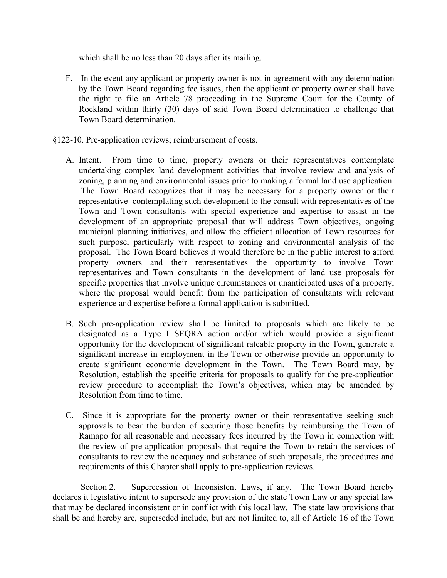which shall be no less than 20 days after its mailing.

- F. In the event any applicant or property owner is not in agreement with any determination by the Town Board regarding fee issues, then the applicant or property owner shall have the right to file an Article 78 proceeding in the Supreme Court for the County of Rockland within thirty (30) days of said Town Board determination to challenge that Town Board determination.
- §122-10. Pre-application reviews; reimbursement of costs.
	- A. Intent. From time to time, property owners or their representatives contemplate undertaking complex land development activities that involve review and analysis of zoning, planning and environmental issues prior to making a formal land use application. The Town Board recognizes that it may be necessary for a property owner or their representative contemplating such development to the consult with representatives of the Town and Town consultants with special experience and expertise to assist in the development of an appropriate proposal that will address Town objectives, ongoing municipal planning initiatives, and allow the efficient allocation of Town resources for such purpose, particularly with respect to zoning and environmental analysis of the proposal. The Town Board believes it would therefore be in the public interest to afford property owners and their representatives the opportunity to involve Town representatives and Town consultants in the development of land use proposals for specific properties that involve unique circumstances or unanticipated uses of a property, where the proposal would benefit from the participation of consultants with relevant experience and expertise before a formal application is submitted.
	- B. Such pre-application review shall be limited to proposals which are likely to be designated as a Type I SEQRA action and/or which would provide a significant opportunity for the development of significant rateable property in the Town, generate a significant increase in employment in the Town or otherwise provide an opportunity to create significant economic development in the Town. The Town Board may, by Resolution, establish the specific criteria for proposals to qualify for the pre-application review procedure to accomplish the Town's objectives, which may be amended by Resolution from time to time.
	- C. Since it is appropriate for the property owner or their representative seeking such approvals to bear the burden of securing those benefits by reimbursing the Town of Ramapo for all reasonable and necessary fees incurred by the Town in connection with the review of pre-application proposals that require the Town to retain the services of consultants to review the adequacy and substance of such proposals, the procedures and requirements of this Chapter shall apply to pre-application reviews.

Section 2. Supercession of Inconsistent Laws, if any. The Town Board hereby declares it legislative intent to supersede any provision of the state Town Law or any special law that may be declared inconsistent or in conflict with this local law. The state law provisions that shall be and hereby are, superseded include, but are not limited to, all of Article 16 of the Town